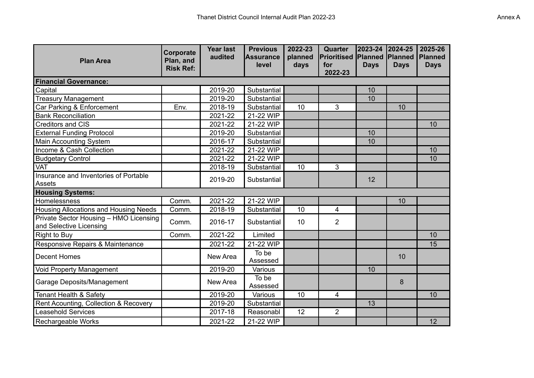| <b>Plan Area</b>                                                  | Corporate<br>Plan, and<br><b>Risk Ref:</b> | <b>Year last</b><br>audited | <b>Previous</b><br><b>Assurance</b><br>level | 2022-23<br>planned<br>days | Quarter<br>Prioritised<br>for<br>2022-23 | 2023-24 2024-25<br><b>Planned</b><br><b>Days</b> | <b>Planned</b><br><b>Days</b> | 2025-26<br><b>Planned</b><br><b>Days</b> |
|-------------------------------------------------------------------|--------------------------------------------|-----------------------------|----------------------------------------------|----------------------------|------------------------------------------|--------------------------------------------------|-------------------------------|------------------------------------------|
| <b>Financial Governance:</b>                                      |                                            |                             |                                              |                            |                                          |                                                  |                               |                                          |
| Capital                                                           |                                            | 2019-20                     | Substantial                                  |                            |                                          | 10                                               |                               |                                          |
| <b>Treasury Management</b>                                        |                                            | 2019-20                     | Substantial                                  |                            |                                          | 10                                               |                               |                                          |
| Car Parking & Enforcement                                         | Env.                                       | 2018-19                     | Substantial                                  | 10                         | 3                                        |                                                  | 10                            |                                          |
| <b>Bank Reconciliation</b>                                        |                                            | 2021-22                     | 21-22 WIP                                    |                            |                                          |                                                  |                               |                                          |
| <b>Creditors and CIS</b>                                          |                                            | 2021-22                     | 21-22 WIP                                    |                            |                                          |                                                  |                               | 10                                       |
| <b>External Funding Protocol</b>                                  |                                            | 2019-20                     | Substantial                                  |                            |                                          | 10                                               |                               |                                          |
| Main Accounting System                                            |                                            | 2016-17                     | Substantial                                  |                            |                                          | 10                                               |                               |                                          |
| Income & Cash Collection                                          |                                            | 2021-22                     | 21-22 WIP                                    |                            |                                          |                                                  |                               | 10                                       |
| <b>Budgetary Control</b>                                          |                                            | 2021-22                     | 21-22 WIP                                    |                            |                                          |                                                  |                               | 10                                       |
| <b>VAT</b>                                                        |                                            | 2018-19                     | Substantial                                  | 10                         | 3                                        |                                                  |                               |                                          |
| Insurance and Inventories of Portable<br>Assets                   |                                            | 2019-20                     | Substantial                                  |                            |                                          | 12                                               |                               |                                          |
| <b>Housing Systems:</b>                                           |                                            |                             |                                              |                            |                                          |                                                  |                               |                                          |
| Homelessness                                                      | Comm.                                      | 2021-22                     | 21-22 WIP                                    |                            |                                          |                                                  | 10                            |                                          |
| <b>Housing Allocations and Housing Needs</b>                      | Comm.                                      | 2018-19                     | Substantial                                  | 10                         | 4                                        |                                                  |                               |                                          |
| Private Sector Housing - HMO Licensing<br>and Selective Licensing | Comm.                                      | 2016-17                     | Substantial                                  | 10                         | $\overline{2}$                           |                                                  |                               |                                          |
| Right to Buy                                                      | Comm.                                      | 2021-22                     | Limited                                      |                            |                                          |                                                  |                               | 10                                       |
| Responsive Repairs & Maintenance                                  |                                            | 2021-22                     | 21-22 WIP                                    |                            |                                          |                                                  |                               | 15                                       |
| Decent Homes                                                      |                                            | New Area                    | To be<br>Assessed                            |                            |                                          |                                                  | 10                            |                                          |
| <b>Void Property Management</b>                                   |                                            | 2019-20                     | Various                                      |                            |                                          | 10                                               |                               |                                          |
| <b>Garage Deposits/Management</b>                                 |                                            | New Area                    | To be<br>Assessed                            |                            |                                          |                                                  | 8                             |                                          |
| Tenant Health & Safety                                            |                                            | 2019-20                     | Various                                      | 10                         | 4                                        |                                                  |                               | 10                                       |
| Rent Acounting, Collection & Recovery                             |                                            | 2019-20                     | Substantial                                  |                            |                                          | 13                                               |                               |                                          |
| <b>Leasehold Services</b>                                         |                                            | 2017-18                     | Reasonabl                                    | 12                         | $\overline{2}$                           |                                                  |                               |                                          |
| Rechargeable Works                                                |                                            | 2021-22                     | 21-22 WIP                                    |                            |                                          |                                                  |                               | 12                                       |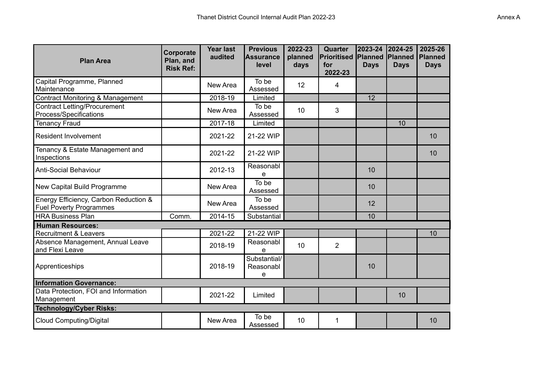| <b>Plan Area</b>                                                        | Corporate<br>Plan, and<br><b>Risk Ref:</b> | <b>Year last</b><br>audited | <b>Previous</b><br><b>Assurance</b><br>level | 2022-23<br>planned<br>days | Quarter<br><b>Prioritised</b><br>for<br>2022-23 | 2023-24<br><b>Planned</b><br><b>Days</b> | 2024-25<br><b>Planned</b><br><b>Days</b> | 2025-26<br><b>Planned</b><br><b>Days</b> |
|-------------------------------------------------------------------------|--------------------------------------------|-----------------------------|----------------------------------------------|----------------------------|-------------------------------------------------|------------------------------------------|------------------------------------------|------------------------------------------|
| Capital Programme, Planned<br>Maintenance                               |                                            | New Area                    | To be<br>Assessed                            | 12                         | 4                                               |                                          |                                          |                                          |
| <b>Contract Monitoring &amp; Management</b>                             |                                            | 2018-19                     | Limited                                      |                            |                                                 | 12                                       |                                          |                                          |
| <b>Contract Letting/Procurement</b><br>Process/Specifications           |                                            | New Area                    | To be<br>Assessed                            | 10                         | 3                                               |                                          |                                          |                                          |
| <b>Tenancy Fraud</b>                                                    |                                            | 2017-18                     | Limited                                      |                            |                                                 |                                          | 10                                       |                                          |
| <b>Resident Involvement</b>                                             |                                            | 2021-22                     | 21-22 WIP                                    |                            |                                                 |                                          |                                          | 10                                       |
| Tenancy & Estate Management and<br>Inspections                          |                                            | 2021-22                     | 21-22 WIP                                    |                            |                                                 |                                          |                                          | 10                                       |
| <b>Anti-Social Behaviour</b>                                            |                                            | 2012-13                     | Reasonabl<br>e                               |                            |                                                 | 10                                       |                                          |                                          |
| New Capital Build Programme                                             |                                            | New Area                    | To be<br>Assessed                            |                            |                                                 | 10                                       |                                          |                                          |
| Energy Efficiency, Carbon Reduction &<br><b>Fuel Poverty Programmes</b> |                                            | New Area                    | To be<br>Assessed                            |                            |                                                 | 12                                       |                                          |                                          |
| <b>HRA Business Plan</b>                                                | Comm.                                      | 2014-15                     | Substantial                                  |                            |                                                 | 10                                       |                                          |                                          |
| <b>Human Resources:</b>                                                 |                                            |                             |                                              |                            |                                                 |                                          |                                          |                                          |
| <b>Recruitment &amp; Leavers</b>                                        |                                            | 2021-22                     | 21-22 WIP                                    |                            |                                                 |                                          |                                          | 10                                       |
| Absence Management, Annual Leave<br>and Flexi Leave                     |                                            | 2018-19                     | Reasonabl<br>e                               | 10                         | $\overline{2}$                                  |                                          |                                          |                                          |
| Apprenticeships                                                         |                                            | 2018-19                     | Substantial/<br>Reasonabl<br>e               |                            |                                                 | 10                                       |                                          |                                          |
| <b>Information Governance:</b>                                          |                                            |                             |                                              |                            |                                                 |                                          |                                          |                                          |
| Data Protection, FOI and Information<br>Management                      |                                            | 2021-22                     | Limited                                      |                            |                                                 |                                          | 10                                       |                                          |
| <b>Technology/Cyber Risks:</b>                                          |                                            |                             |                                              |                            |                                                 |                                          |                                          |                                          |
| <b>Cloud Computing/Digital</b>                                          |                                            | New Area                    | To be<br>Assessed                            | 10                         | 1                                               |                                          |                                          | 10                                       |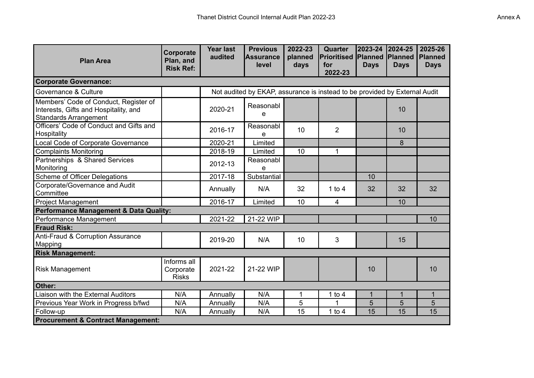| <b>Plan Area</b>                                                                                               | Corporate<br>Plan, and<br><b>Risk Ref:</b> | <b>Year last</b><br>audited | <b>Previous</b><br><b>IAssurance</b><br>level                              | 2022-23<br>planned<br>days | <b>Quarter</b><br>Prioritised<br>for<br>2022-23 | 2023-24 2024-25<br><b>Planned</b><br><b>Days</b> | <b>IPlanned</b><br><b>Days</b> | 2025-26<br><b>Planned</b><br><b>Days</b> |
|----------------------------------------------------------------------------------------------------------------|--------------------------------------------|-----------------------------|----------------------------------------------------------------------------|----------------------------|-------------------------------------------------|--------------------------------------------------|--------------------------------|------------------------------------------|
| <b>Corporate Governance:</b>                                                                                   |                                            |                             |                                                                            |                            |                                                 |                                                  |                                |                                          |
| Governance & Culture                                                                                           |                                            |                             | Not audited by EKAP, assurance is instead to be provided by External Audit |                            |                                                 |                                                  |                                |                                          |
| Members' Code of Conduct, Register of<br>Interests, Gifts and Hospitality, and<br><b>Standards Arrangement</b> |                                            | 2020-21                     | Reasonabl<br>e                                                             |                            |                                                 |                                                  | 10                             |                                          |
| Officers' Code of Conduct and Gifts and<br>Hospitality                                                         |                                            | 2016-17                     | Reasonabl<br>e                                                             | 10                         | $\overline{2}$                                  |                                                  | 10                             |                                          |
| <b>Local Code of Corporate Governance</b>                                                                      |                                            | 2020-21                     | Limited                                                                    |                            |                                                 |                                                  | 8                              |                                          |
| <b>Complaints Monitoring</b>                                                                                   |                                            | 2018-19                     | Limited                                                                    | 10                         | 1                                               |                                                  |                                |                                          |
| Partnerships & Shared Services<br>Monitoring                                                                   |                                            | 2012-13                     | Reasonabl<br>e                                                             |                            |                                                 |                                                  |                                |                                          |
| Scheme of Officer Delegations                                                                                  |                                            | 2017-18                     | Substantial                                                                |                            |                                                 | 10                                               |                                |                                          |
| Corporate/Governance and Audit<br>Committee                                                                    |                                            | Annually                    | N/A                                                                        | 32                         | 1 to $4$                                        | 32                                               | 32                             | 32                                       |
| <b>Project Management</b>                                                                                      |                                            | 2016-17                     | Limited                                                                    | 10                         | $\overline{\mathbf{4}}$                         |                                                  | 10                             |                                          |
| Performance Management & Data Quality:                                                                         |                                            |                             |                                                                            |                            |                                                 |                                                  |                                |                                          |
| Performance Management                                                                                         |                                            | 2021-22                     | 21-22 WIP                                                                  |                            |                                                 |                                                  |                                | 10                                       |
| <b>Fraud Risk:</b>                                                                                             |                                            |                             |                                                                            |                            |                                                 |                                                  |                                |                                          |
| Anti-Fraud & Corruption Assurance<br>Mapping                                                                   |                                            | 2019-20                     | N/A                                                                        | 10                         | 3                                               |                                                  | 15                             |                                          |
| <b>Risk Management:</b>                                                                                        |                                            |                             |                                                                            |                            |                                                 |                                                  |                                |                                          |
| <b>Risk Management</b>                                                                                         | Informs all<br>Corporate<br><b>Risks</b>   | 2021-22                     | 21-22 WIP                                                                  |                            |                                                 | 10                                               |                                | 10                                       |
| Other:                                                                                                         |                                            |                             |                                                                            |                            |                                                 |                                                  |                                |                                          |
| Liaison with the External Auditors                                                                             | N/A                                        | Annually                    | N/A                                                                        | 1                          | 1 to $4$                                        | $\mathbf{1}$                                     | $\mathbf{1}$                   | $\mathbf 1$                              |
| Previous Year Work in Progress b/fwd                                                                           | N/A                                        | Annually                    | N/A                                                                        | 5                          | 1                                               | 5                                                | 5                              | 5                                        |
| Follow-up                                                                                                      | N/A                                        | Annually                    | N/A                                                                        | 15                         | 1 to $4$                                        | 15                                               | 15                             | 15                                       |
| <b>Procurement &amp; Contract Management:</b>                                                                  |                                            |                             |                                                                            |                            |                                                 |                                                  |                                |                                          |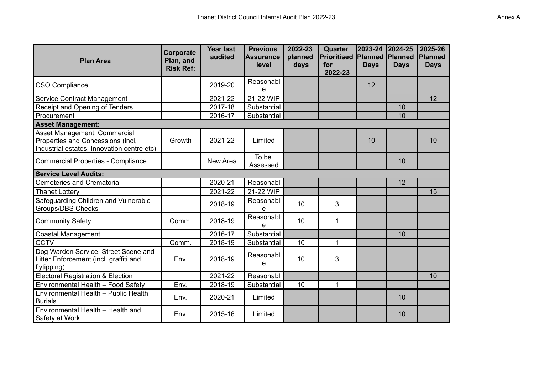| <b>Plan Area</b>                                                                                                | Corporate<br>Plan, and<br><b>Risk Ref:</b> | <b>Year last</b><br>audited | <b>Previous</b><br><b>Assurance</b><br>level | 2022-23<br>planned<br>days | Quarter<br><b>Prioritised</b><br>for<br>2022-23 | 2023-24 2024-25<br><b>Planned</b><br><b>Days</b> | <b>Planned</b><br><b>Days</b> | 2025-26<br><b>Planned</b><br><b>Days</b> |
|-----------------------------------------------------------------------------------------------------------------|--------------------------------------------|-----------------------------|----------------------------------------------|----------------------------|-------------------------------------------------|--------------------------------------------------|-------------------------------|------------------------------------------|
| CSO Compliance                                                                                                  |                                            | 2019-20                     | Reasonabl<br>e                               |                            |                                                 | 12                                               |                               |                                          |
| Service Contract Management                                                                                     |                                            | 2021-22                     | 21-22 WIP                                    |                            |                                                 |                                                  |                               | 12                                       |
| Receipt and Opening of Tenders                                                                                  |                                            | 2017-18                     | Substantial                                  |                            |                                                 |                                                  | 10                            |                                          |
| Procurement                                                                                                     |                                            | 2016-17                     | Substantial                                  |                            |                                                 |                                                  | 10                            |                                          |
| <b>Asset Management:</b>                                                                                        |                                            |                             |                                              |                            |                                                 |                                                  |                               |                                          |
| Asset Management; Commercial<br>Properties and Concessions (incl,<br>Industrial estates, Innovation centre etc) | Growth                                     | 2021-22                     | Limited                                      |                            |                                                 | 10                                               |                               | 10                                       |
| Commercial Properties - Compliance                                                                              |                                            | New Area                    | To be<br>Assessed                            |                            |                                                 |                                                  | 10                            |                                          |
| <b>Service Level Audits:</b>                                                                                    |                                            |                             |                                              |                            |                                                 |                                                  |                               |                                          |
| <b>Cemeteries and Crematoria</b>                                                                                |                                            | 2020-21                     | Reasonabl                                    |                            |                                                 |                                                  | 12                            |                                          |
| Thanet Lottery                                                                                                  |                                            | 2021-22                     | 21-22 WIP                                    |                            |                                                 |                                                  |                               | 15                                       |
| Safeguarding Children and Vulnerable<br><b>Groups/DBS Checks</b>                                                |                                            | 2018-19                     | Reasonabl<br>e                               | 10                         | 3                                               |                                                  |                               |                                          |
| <b>Community Safety</b>                                                                                         | Comm.                                      | 2018-19                     | Reasonabl<br>e                               | 10                         | 1                                               |                                                  |                               |                                          |
| <b>Coastal Management</b>                                                                                       |                                            | 2016-17                     | Substantial                                  |                            |                                                 |                                                  | 10                            |                                          |
| <b>CCTV</b>                                                                                                     | Comm.                                      | 2018-19                     | Substantial                                  | 10                         | 1                                               |                                                  |                               |                                          |
| Dog Warden Service, Street Scene and<br>Litter Enforcement (incl. graffiti and<br>flytipping)                   | Env.                                       | 2018-19                     | Reasonabl<br>e                               | 10                         | 3                                               |                                                  |                               |                                          |
| <b>Electoral Registration &amp; Election</b>                                                                    |                                            | 2021-22                     | Reasonabl                                    |                            |                                                 |                                                  |                               | 10                                       |
| Environmental Health - Food Safety                                                                              | Env.                                       | 2018-19                     | Substantial                                  | 10                         | 1                                               |                                                  |                               |                                          |
| Environmental Health - Public Health<br><b>Burials</b>                                                          | Env.                                       | 2020-21                     | Limited                                      |                            |                                                 |                                                  | 10                            |                                          |
| Environmental Health - Health and<br>Safety at Work                                                             | Env.                                       | 2015-16                     | Limited                                      |                            |                                                 |                                                  | 10                            |                                          |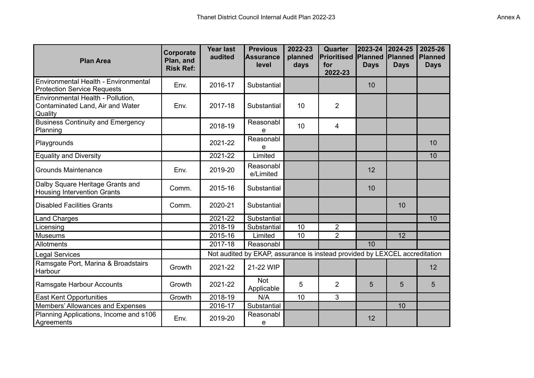| <b>Plan Area</b>                                                                        | Corporate<br>Plan, and<br><b>Risk Ref:</b> | <b>Year last</b><br>audited | <b>Previous</b><br>Assurance<br>level                                      | 2022-23<br>planned<br>days | Quarter<br><b>Prioritised</b><br>for<br>2022-23 | 2023-24<br>Planned<br><b>Days</b> | 2024-25<br>Planned<br><b>Days</b> | 2025-26<br>Planned<br><b>Days</b> |
|-----------------------------------------------------------------------------------------|--------------------------------------------|-----------------------------|----------------------------------------------------------------------------|----------------------------|-------------------------------------------------|-----------------------------------|-----------------------------------|-----------------------------------|
| Environmental Health - Environmental<br><b>Protection Service Requests</b>              | Env.                                       | 2016-17                     | Substantial                                                                |                            |                                                 | 10                                |                                   |                                   |
| Environmental Health - Pollution,<br>Contaminated Land, Air and Water<br><b>Quality</b> | Env.                                       | 2017-18                     | Substantial                                                                | 10                         | $\overline{2}$                                  |                                   |                                   |                                   |
| <b>Business Continuity and Emergency</b><br>Planning                                    |                                            | 2018-19                     | Reasonabl<br>e                                                             | 10                         | 4                                               |                                   |                                   |                                   |
| Playgrounds                                                                             |                                            | 2021-22                     | Reasonabl<br>e                                                             |                            |                                                 |                                   |                                   | 10                                |
| <b>Equality and Diversity</b>                                                           |                                            | 2021-22                     | Limited                                                                    |                            |                                                 |                                   |                                   | 10                                |
| Grounds Maintenance                                                                     | Env.                                       | 2019-20                     | Reasonabl<br>e/Limited                                                     |                            |                                                 | 12                                |                                   |                                   |
| Dalby Square Heritage Grants and<br><b>Housing Intervention Grants</b>                  | Comm.                                      | 2015-16                     | Substantial                                                                |                            |                                                 | 10                                |                                   |                                   |
| Disabled Facilities Grants                                                              | Comm.                                      | 2020-21                     | Substantial                                                                |                            |                                                 |                                   | 10                                |                                   |
| Land Charges                                                                            |                                            | 2021-22                     | Substantial                                                                |                            |                                                 |                                   |                                   | 10                                |
| Licensing                                                                               |                                            | 2018-19                     | Substantial                                                                | 10                         | $\overline{2}$                                  |                                   |                                   |                                   |
| Museums                                                                                 |                                            | 2015-16                     | Limited                                                                    | 10                         | $\overline{2}$                                  |                                   | 12                                |                                   |
| Allotments                                                                              |                                            | 2017-18                     | Reasonabl                                                                  |                            |                                                 | 10                                |                                   |                                   |
| Legal Services                                                                          |                                            |                             | Not audited by EKAP, assurance is instead provided by LEXCEL accreditation |                            |                                                 |                                   |                                   |                                   |
| Ramsgate Port, Marina & Broadstairs<br><b>Harbour</b>                                   | Growth                                     | 2021-22                     | 21-22 WIP                                                                  |                            |                                                 |                                   |                                   | 12                                |
| Ramsgate Harbour Accounts                                                               | Growth                                     | 2021-22                     | <b>Not</b><br>Applicable                                                   | 5                          | $\overline{2}$                                  | 5                                 | 5                                 | 5                                 |
| <b>East Kent Opportunities</b>                                                          | Growth                                     | 2018-19                     | N/A                                                                        | 10                         | 3                                               |                                   |                                   |                                   |
| Members' Allowances and Expenses                                                        |                                            | 2016-17                     | Substantial                                                                |                            |                                                 |                                   | 10                                |                                   |
| Planning Applications, Income and s106<br>Agreements                                    | Env.                                       | 2019-20                     | Reasonabl<br>e                                                             |                            |                                                 | 12                                |                                   |                                   |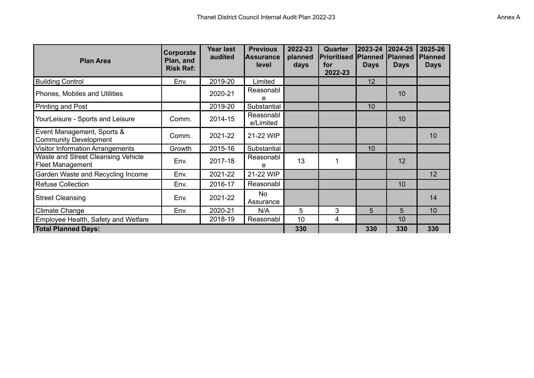| <b>Plan Area</b>                                              | Corporate<br>Plan, and<br><b>Risk Ref:</b> | Year last<br>audited | <b>Previous</b><br><b>Assurance</b><br>level | 2022-23<br>planned<br>days | <b>Quarter</b><br><b>Prioritised</b><br>for<br>2022-23 | 2023-24<br><b>Planned</b><br><b>Days</b> | 2024-25<br><b>Planned</b><br><b>Days</b> | 2025-26<br><b>Planned</b><br><b>Days</b> |
|---------------------------------------------------------------|--------------------------------------------|----------------------|----------------------------------------------|----------------------------|--------------------------------------------------------|------------------------------------------|------------------------------------------|------------------------------------------|
| <b>Building Control</b>                                       | Env.                                       | 2019-20              | Limited                                      |                            |                                                        | 12                                       |                                          |                                          |
| Phones, Mobiles and Utilities                                 |                                            | 2020-21              | Reasonabl<br>е                               |                            |                                                        |                                          | 10                                       |                                          |
| Printing and Post                                             |                                            | 2019-20              | Substantial                                  |                            |                                                        | 10                                       |                                          |                                          |
| YourLeisure - Sports and Leisure                              | Comm.                                      | 2014-15              | Reasonabl<br>e/Limited                       |                            |                                                        |                                          | 10                                       |                                          |
| Event Management, Sports &<br><b>Community Development</b>    | Comm.                                      | 2021-22              | 21-22 WIP                                    |                            |                                                        |                                          |                                          | 10                                       |
| <b>Visitor Information Arrangements</b>                       | Growth                                     | 2015-16              | Substantial                                  |                            |                                                        | 10                                       |                                          |                                          |
| Waste and Street Cleansing Vehicle<br><b>Fleet Management</b> | Env.                                       | 2017-18              | Reasonabl<br>е                               | 13                         | 1                                                      |                                          | 12                                       |                                          |
| Garden Waste and Recycling Income                             | Env.                                       | 2021-22              | 21-22 WIP                                    |                            |                                                        |                                          |                                          | 12                                       |
| <b>Refuse Collection</b>                                      | Env.                                       | 2016-17              | Reasonabl                                    |                            |                                                        |                                          | 10                                       |                                          |
| <b>Street Cleansing</b>                                       | Env.                                       | 2021-22              | No<br>Assurance                              |                            |                                                        |                                          |                                          | 14                                       |
| <b>Climate Change</b>                                         | Env.                                       | 2020-21              | N/A                                          | 5                          | 3                                                      | 5                                        | 5                                        | 10                                       |
| Employee Health, Safety and Welfare                           |                                            | 2018-19              | Reasonabl                                    | 10                         | 4                                                      |                                          | 10                                       |                                          |
| <b>Total Planned Days:</b>                                    |                                            |                      |                                              | 330                        |                                                        | 330                                      | 330                                      | 330                                      |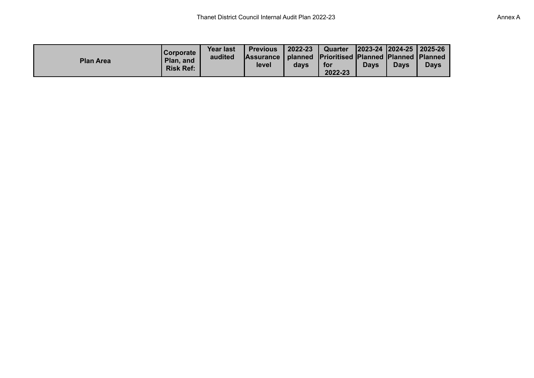| <b>Plan Area</b> | <b>Corporate</b><br>Plan, and<br><b>Risk Ref:</b> | <b>Year last</b><br>audited | <b>Previous</b><br>Assurance   planned   Prioritised   Planned   Planned   Planned<br>level | 2022-23<br>davs | Quarter<br>for<br>2022-23 | <b>Davs</b> | 2023-24  2024-25   2025-26<br><b>Davs</b> | <b>Days</b> |
|------------------|---------------------------------------------------|-----------------------------|---------------------------------------------------------------------------------------------|-----------------|---------------------------|-------------|-------------------------------------------|-------------|
|------------------|---------------------------------------------------|-----------------------------|---------------------------------------------------------------------------------------------|-----------------|---------------------------|-------------|-------------------------------------------|-------------|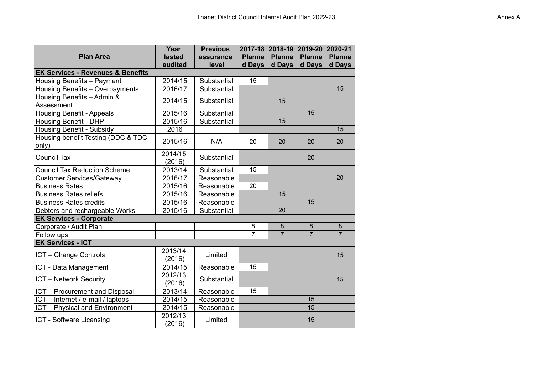| <b>Plan Area</b>                             | Year<br>lasted    | <b>Previous</b><br>assurance | 2017-18<br><b>Planne</b> | 2018-19 2019-20<br><b>Planne</b> | <b>Planne</b>  | 2020-21<br><b>Planne</b> |
|----------------------------------------------|-------------------|------------------------------|--------------------------|----------------------------------|----------------|--------------------------|
|                                              | audited           | level                        | $d$ Days                 | d Days                           | d Days         | d Days                   |
| <b>EK Services - Revenues &amp; Benefits</b> |                   |                              |                          |                                  |                |                          |
| Housing Benefits - Payment                   | 2014/15           | Substantial                  | 15                       |                                  |                |                          |
| Housing Benefits - Overpayments              | 2016/17           | Substantial                  |                          |                                  |                | 15                       |
| Housing Benefits - Admin &<br>Assessment     | 2014/15           | Substantial                  |                          | 15                               |                |                          |
| <b>Housing Benefit - Appeals</b>             | 2015/16           | Substantial                  |                          |                                  | 15             |                          |
| <b>Housing Benefit - DHP</b>                 | 2015/16           | Substantial                  |                          | 15                               |                |                          |
| Housing Benefit - Subsidy                    | 2016              |                              |                          |                                  |                | 15                       |
| Housing benefit Testing (DDC & TDC<br>only)  | 2015/16           | N/A                          | 20                       | 20                               | 20             | 20                       |
| <b>Council Tax</b>                           | 2014/15<br>(2016) | Substantial                  |                          |                                  | 20             |                          |
| <b>Council Tax Reduction Scheme</b>          | 2013/14           | Substantial                  | 15                       |                                  |                |                          |
| <b>Customer Services/Gateway</b>             | 2016/17           | Reasonable                   |                          |                                  |                | 20                       |
| <b>Business Rates</b>                        | 2015/16           | Reasonable                   | 20                       |                                  |                |                          |
| <b>Business Rates reliefs</b>                | 2015/16           | Reasonable                   |                          | 15                               |                |                          |
| <b>Business Rates credits</b>                | 2015/16           | Reasonable                   |                          |                                  | 15             |                          |
| Debtors and rechargeable Works               | 2015/16           | Substantial                  |                          | 20                               |                |                          |
| <b>EK Services - Corporate</b>               |                   |                              |                          |                                  |                |                          |
| Corporate / Audit Plan                       |                   |                              | 8                        | 8                                | 8              | 8                        |
| Follow ups                                   |                   |                              | $\overline{7}$           | $\overline{7}$                   | $\overline{7}$ | $\overline{7}$           |
| <b>EK Services - ICT</b>                     |                   |                              |                          |                                  |                |                          |
| ICT - Change Controls                        | 2013/14<br>(2016) | Limited                      |                          |                                  |                | 15                       |
| ICT - Data Management                        | 2014/15           | Reasonable                   | 15                       |                                  |                |                          |
| <b>ICT</b> - Network Security                | 2012/13<br>(2016) | Substantial                  |                          |                                  |                | 15                       |
| ICT - Procurement and Disposal               | 2013/14           | Reasonable                   | 15                       |                                  |                |                          |
| ICT - Internet / e-mail / laptops            | 2014/15           | Reasonable                   |                          |                                  | 15             |                          |
| ICT - Physical and Environment               | 2014/15           | Reasonable                   |                          |                                  | 15             |                          |
| ICT - Software Licensing                     | 2012/13<br>(2016) | Limited                      |                          |                                  | 15             |                          |